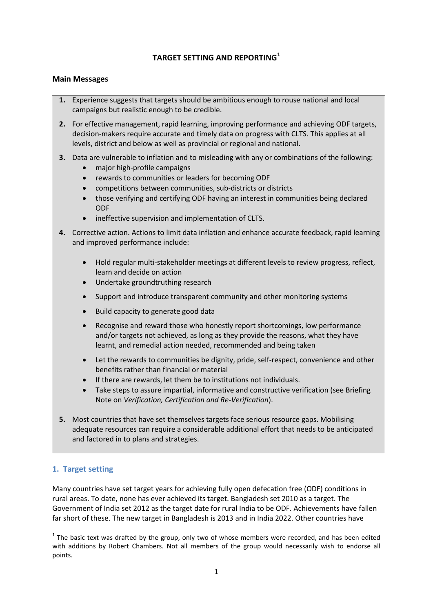## **TARGET SETTING AND REPORTING[1](#page-0-0)**

#### **Main Messages**

- **1.** Experience suggests that targets should be ambitious enough to rouse national and local campaigns but realistic enough to be credible.
- **2.** For effective management, rapid learning, improving performance and achieving ODF targets, decision-makers require accurate and timely data on progress with CLTS. This applies at all levels, district and below as well as provincial or regional and national.
- **3.** Data are vulnerable to inflation and to misleading with any or combinations of the following:
	- major high-profile campaigns
	- rewards to communities or leaders for becoming ODF
	- competitions between communities, sub-districts or districts
	- those verifying and certifying ODF having an interest in communities being declared ODF
	- ineffective supervision and implementation of CLTS.
- **4.** Corrective action. Actions to limit data inflation and enhance accurate feedback, rapid learning and improved performance include:
	- Hold regular multi-stakeholder meetings at different levels to review progress, reflect, learn and decide on action
	- Undertake groundtruthing research
	- Support and introduce transparent community and other monitoring systems
	- Build capacity to generate good data
	- Recognise and reward those who honestly report shortcomings, low performance and/or targets not achieved, as long as they provide the reasons, what they have learnt, and remedial action needed, recommended and being taken
	- Let the rewards to communities be dignity, pride, self-respect, convenience and other benefits rather than financial or material
	- If there are rewards, let them be to institutions not individuals.
	- Take steps to assure impartial, informative and constructive verification (see Briefing Note on *Verification, Certification and Re-Verification*).
- **5.** Most countries that have set themselves targets face serious resource gaps. Mobilising adequate resources can require a considerable additional effort that needs to be anticipated and factored in to plans and strategies.

# **1. Target setting**

Many countries have set target years for achieving fully open defecation free (ODF) conditions in rural areas. To date, none has ever achieved its target. Bangladesh set 2010 as a target. The Government of India set 2012 as the target date for rural India to be ODF. Achievements have fallen far short of these. The new target in Bangladesh is 2013 and in India 2022. Other countries have

<span id="page-0-0"></span> $1$  The basic text was drafted by the group, only two of whose members were recorded, and has been edited with additions by Robert Chambers. Not all members of the group would necessarily wish to endorse all points.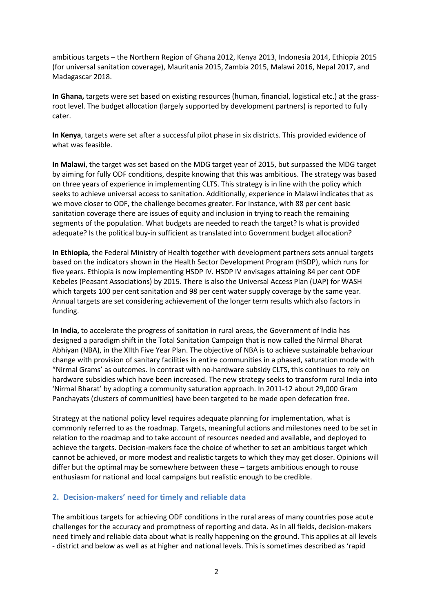ambitious targets – the Northern Region of Ghana 2012, Kenya 2013, Indonesia 2014, Ethiopia 2015 (for universal sanitation coverage), Mauritania 2015, Zambia 2015, Malawi 2016, Nepal 2017, and Madagascar 2018.

**In Ghana,** targets were set based on existing resources (human, financial, logistical etc.) at the grassroot level. The budget allocation (largely supported by development partners) is reported to fully cater.

**In Kenya**, targets were set after a successful pilot phase in six districts. This provided evidence of what was feasible.

**In Malawi**, the target was set based on the MDG target year of 2015, but surpassed the MDG target by aiming for fully ODF conditions, despite knowing that this was ambitious. The strategy was based on three years of experience in implementing CLTS. This strategy is in line with the policy which seeks to achieve universal access to sanitation. Additionally, experience in Malawi indicates that as we move closer to ODF, the challenge becomes greater. For instance, with 88 per cent basic sanitation coverage there are issues of equity and inclusion in trying to reach the remaining segments of the population. What budgets are needed to reach the target? Is what is provided adequate? Is the political buy-in sufficient as translated into Government budget allocation?

**In Ethiopia,** the Federal Ministry of Health together with development partners sets annual targets based on the indicators shown in the Health Sector Development Program (HSDP), which runs for five years. Ethiopia is now implementing HSDP IV. HSDP IV envisages attaining 84 per cent ODF Kebeles (Peasant Associations) by 2015. There is also the Universal Access Plan (UAP) for WASH which targets 100 per cent sanitation and 98 per cent water supply coverage by the same year. Annual targets are set considering achievement of the longer term results which also factors in funding.

**In India,** to accelerate the progress of sanitation in rural areas, the Government of India has designed a paradigm shift in the Total Sanitation Campaign that is now called the Nirmal Bharat Abhiyan (NBA), in the XIIth Five Year Plan. The objective of NBA is to achieve sustainable behaviour change with provision of sanitary facilities in entire communities in a phased, saturation mode with "Nirmal Grams' as outcomes. In contrast with no-hardware subsidy CLTS, this continues to rely on hardware subsidies which have been increased. The new strategy seeks to transform rural India into 'Nirmal Bharat' by adopting a community saturation approach. In 2011-12 about 29,000 Gram Panchayats (clusters of communities) have been targeted to be made open defecation free.

Strategy at the national policy level requires adequate planning for implementation, what is commonly referred to as the roadmap. Targets, meaningful actions and milestones need to be set in relation to the roadmap and to take account of resources needed and available, and deployed to achieve the targets. Decision-makers face the choice of whether to set an ambitious target which cannot be achieved, or more modest and realistic targets to which they may get closer. Opinions will differ but the optimal may be somewhere between these – targets ambitious enough to rouse enthusiasm for national and local campaigns but realistic enough to be credible.

#### **2. Decision-makers' need for timely and reliable data**

The ambitious targets for achieving ODF conditions in the rural areas of many countries pose acute challenges for the accuracy and promptness of reporting and data. As in all fields, decision-makers need timely and reliable data about what is really happening on the ground. This applies at all levels - district and below as well as at higher and national levels. This is sometimes described as 'rapid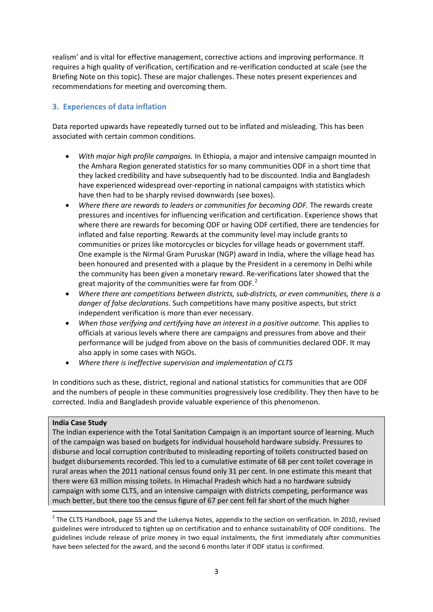realism' and is vital for effective management, corrective actions and improving performance. It requires a high quality of verification, certification and re-verification conducted at scale (see the Briefing Note on this topic). These are major challenges. These notes present experiences and recommendations for meeting and overcoming them.

# **3. Experiences of data inflation**

Data reported upwards have repeatedly turned out to be inflated and misleading. This has been associated with certain common conditions.

- *With major high profile campaigns.* In Ethiopia, a major and intensive campaign mounted in the Amhara Region generated statistics for so many communities ODF in a short time that they lacked credibility and have subsequently had to be discounted. India and Bangladesh have experienced widespread over-reporting in national campaigns with statistics which have then had to be sharply revised downwards (see boxes).
- *Where there are rewards to leaders or communities for becoming ODF.* The rewards create pressures and incentives for influencing verification and certification. Experience shows that where there are rewards for becoming ODF or having ODF certified, there are tendencies for inflated and false reporting. Rewards at the community level may include grants to communities or prizes like motorcycles or bicycles for village heads or government staff. One example is the Nirmal Gram Puruskar (NGP) award in India, where the village head has been honoured and presented with a plaque by the President in a ceremony in Delhi while the community has been given a monetary reward. Re-verifications later showed that the great majority of the communities were far from ODF.<sup>[2](#page-2-0)</sup>
- *Where there are competitions between districts, sub-districts, or even communities, there is a danger of false declarations.* Such competitions have many positive aspects, but strict independent verification is more than ever necessary.
- *When those verifying and certifying have an interest in a positive outcome.* This applies to officials at various levels where there are campaigns and pressures from above and their performance will be judged from above on the basis of communities declared ODF. It may also apply in some cases with NGOs.
- *Where there is ineffective supervision and implementation of CLTS*

In conditions such as these, district, regional and national statistics for communities that are ODF and the numbers of people in these communities progressively lose credibility. They then have to be corrected. India and Bangladesh provide valuable experience of this phenomenon.

## **India Case Study**

The Indian experience with the Total Sanitation Campaign is an important source of learning. Much of the campaign was based on budgets for individual household hardware subsidy. Pressures to disburse and local corruption contributed to misleading reporting of toilets constructed based on budget disbursements recorded. This led to a cumulative estimate of 68 per cent toilet coverage in rural areas when the 2011 national census found only 31 per cent. In one estimate this meant that there were 63 million missing toilets. In Himachal Pradesh which had a no hardware subsidy campaign with some CLTS, and an intensive campaign with districts competing, performance was much better, but there too the census figure of 67 per cent fell far short of the much higher

<span id="page-2-0"></span><sup>&</sup>lt;sup>2</sup> The CLTS Handbook, page 55 and the Lukenya Notes, appendix to the section on verification. In 2010, revised guidelines were introduced to tighten up on certification and to enhance sustainability of ODF conditions. The guidelines include release of prize money in two equal instalments, the first immediately after communities have been selected for the award, and the second 6 months later if ODF status is confirmed.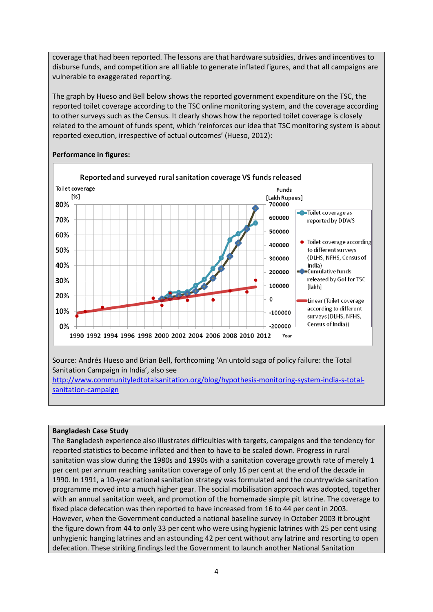coverage that had been reported. The lessons are that hardware subsidies, drives and incentives to disburse funds, and competition are all liable to generate inflated figures, and that all campaigns are vulnerable to exaggerated reporting.

The graph by Hueso and Bell below shows the reported government expenditure on the TSC, the reported toilet coverage according to the TSC online monitoring system, and the coverage according to other surveys such as the Census. It clearly shows how the reported toilet coverage is closely related to the amount of funds spent, which 'reinforces our idea that TSC monitoring system is about reported execution, irrespective of actual outcomes' (Hueso, 2012):



#### **Performance in figures:**

# **Bangladesh Case Study**

The Bangladesh experience also illustrates difficulties with targets, campaigns and the tendency for reported statistics to become inflated and then to have to be scaled down. Progress in rural sanitation was slow during the 1980s and 1990s with a sanitation coverage growth rate of merely 1 per cent per annum reaching sanitation coverage of only 16 per cent at the end of the decade in 1990. In 1991, a 10-year national sanitation strategy was formulated and the countrywide sanitation programme moved into a much higher gear. The social mobilisation approach was adopted, together with an annual sanitation week, and promotion of the homemade simple pit latrine. The coverage to fixed place defecation was then reported to have increased from 16 to 44 per cent in 2003. However, when the Government conducted a national baseline survey in October 2003 it brought the figure down from 44 to only 33 per cent who were using hygienic latrines with 25 per cent using unhygienic hanging latrines and an astounding 42 per cent without any latrine and resorting to open defecation. These striking findings led the Government to launch another National Sanitation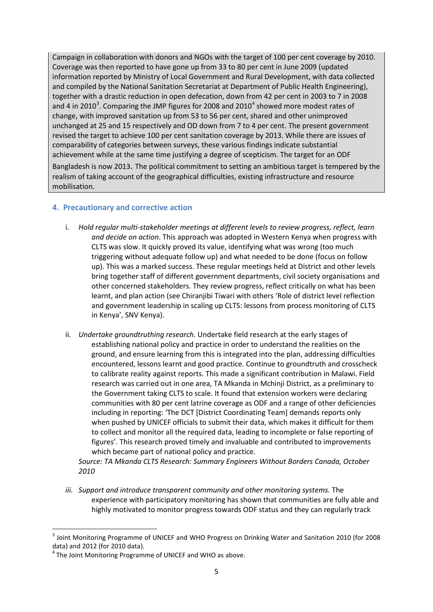Campaign in collaboration with donors and NGOs with the target of 100 per cent coverage by 2010. Coverage was then reported to have gone up from 33 to 80 per cent in June 2009 (updated information reported by Ministry of Local Government and Rural Development, with data collected and compiled by the National Sanitation Secretariat at Department of Public Health Engineering), together with a drastic reduction in open defecation, down from 42 per cent in 2003 to 7 in 2008 and 4 in 2010<sup>[3](#page-4-0)</sup>. Comparing the JMP figures for 2008 and 2010<sup>[4](#page-4-1)</sup> showed more modest rates of change, with improved sanitation up from 53 to 56 per cent, shared and other unimproved unchanged at 25 and 15 respectively and OD down from 7 to 4 per cent. The present government revised the target to achieve 100 per cent sanitation coverage by 2013. While there are issues of comparability of categories between surveys, these various findings indicate substantial achievement while at the same time justifying a degree of scepticism. The target for an ODF Bangladesh is now 2013. The political commitment to setting an ambitious target is tempered by the realism of taking account of the geographical difficulties, existing infrastructure and resource mobilisation.

## **4. Precautionary and corrective action**

- i. *Hold regular multi-stakeholder meetings at different levels to review progress, reflect, learn and decide on action*. This approach was adopted in Western Kenya when progress with CLTS was slow. It quickly proved its value, identifying what was wrong (too much triggering without adequate follow up) and what needed to be done (focus on follow up). This was a marked success. These regular meetings held at District and other levels bring together staff of different government departments, civil society organisations and other concerned stakeholders. They review progress, reflect critically on what has been learnt, and plan action (see Chiranjibi Tiwari with others 'Role of district level reflection and government leadership in scaling up CLTS: lessons from process monitoring of CLTS in Kenya', SNV Kenya).
- ii. *Undertake groundtruthing research.* Undertake field research at the early stages of establishing national policy and practice in order to understand the realities on the ground, and ensure learning from this is integrated into the plan, addressing difficulties encountered, lessons learnt and good practice. Continue to groundtruth and crosscheck to calibrate reality against reports. This made a significant contribution in Malawi. Field research was carried out in one area, TA Mkanda in Mchinji District, as a preliminary to the Government taking CLTS to scale. It found that extension workers were declaring communities with 80 per cent latrine coverage as ODF and a range of other deficiencies including in reporting: 'The DCT [District Coordinating Team] demands reports only when pushed by UNICEF officials to submit their data, which makes it difficult for them to collect and monitor all the required data, leading to incomplete or false reporting of figures'. This research proved timely and invaluable and contributed to improvements which became part of national policy and practice.

*Source: TA Mkanda CLTS Research: Summary Engineers Without Borders Canada, October 2010*

*iii. Support and introduce transparent community and other monitoring systems.* The experience with participatory monitoring has shown that communities are fully able and highly motivated to monitor progress towards ODF status and they can regularly track

<span id="page-4-0"></span><sup>&</sup>lt;sup>3</sup> Joint Monitoring Programme of UNICEF and WHO Progress on Drinking Water and Sanitation 2010 (for 2008 data) and 2012 (for 2010 data).<br><sup>4</sup> The Joint Monitoring Programme of UNICEF and WHO as above.

<span id="page-4-1"></span>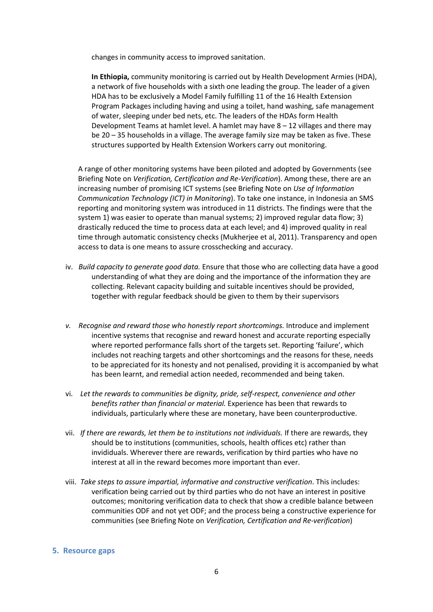changes in community access to improved sanitation.

**In Ethiopia,** community monitoring is carried out by Health Development Armies (HDA), a network of five households with a sixth one leading the group. The leader of a given HDA has to be exclusively a Model Family fulfilling 11 of the 16 Health Extension Program Packages including having and using a toilet, hand washing, safe management of water, sleeping under bed nets, etc. The leaders of the HDAs form Health Development Teams at hamlet level. A hamlet may have 8 – 12 villages and there may be 20 – 35 households in a village. The average family size may be taken as five. These structures supported by Health Extension Workers carry out monitoring.

A range of other monitoring systems have been piloted and adopted by Governments (see Briefing Note on *Verification, Certification and Re-Verification*). Among these, there are an increasing number of promising ICT systems (see Briefing Note on *Use of Information Communication Technology (ICT) in Monitoring*). To take one instance, in Indonesia an SMS reporting and monitoring system was introduced in 11 districts. The findings were that the system 1) was easier to operate than manual systems; 2) improved regular data flow; 3) drastically reduced the time to process data at each level; and 4) improved quality in real time through automatic consistency checks (Mukherjee et al, 2011). Transparency and open access to data is one means to assure crosschecking and accuracy.

- iv. *Build capacity to generate good data.* Ensure that those who are collecting data have a good understanding of what they are doing and the importance of the information they are collecting. Relevant capacity building and suitable incentives should be provided, together with regular feedback should be given to them by their supervisors
- *v. Recognise and reward those who honestly report shortcomings.* Introduce and implement incentive systems that recognise and reward honest and accurate reporting especially where reported performance falls short of the targets set. Reporting 'failure', which includes not reaching targets and other shortcomings and the reasons for these, needs to be appreciated for its honesty and not penalised, providing it is accompanied by what has been learnt, and remedial action needed, recommended and being taken.
- vi. *Let the rewards to communities be dignity, pride, self-respect, convenience and other benefits rather than financial or material.* Experience has been that rewards to individuals, particularly where these are monetary, have been counterproductive.
- vii. *If there are rewards, let them be to institutions not individuals.* If there are rewards, they should be to institutions (communities, schools, health offices etc) rather than invididuals. Wherever there are rewards, verification by third parties who have no interest at all in the reward becomes more important than ever.
- viii. *Take steps to assure impartial, informative and constructive verification*. This includes: verification being carried out by third parties who do not have an interest in positive outcomes; monitoring verification data to check that show a credible balance between communities ODF and not yet ODF; and the process being a constructive experience for communities (see Briefing Note on *Verification, Certification and Re-verification*)

#### **5. Resource gaps**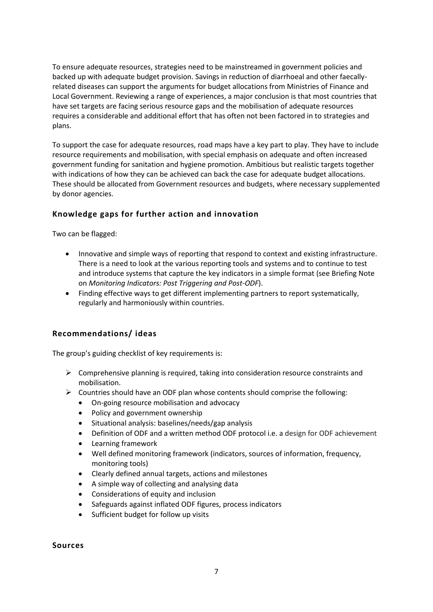To ensure adequate resources, strategies need to be mainstreamed in government policies and backed up with adequate budget provision. Savings in reduction of diarrhoeal and other faecallyrelated diseases can support the arguments for budget allocations from Ministries of Finance and Local Government. Reviewing a range of experiences, a major conclusion is that most countries that have set targets are facing serious resource gaps and the mobilisation of adequate resources requires a considerable and additional effort that has often not been factored in to strategies and plans.

To support the case for adequate resources, road maps have a key part to play. They have to include resource requirements and mobilisation, with special emphasis on adequate and often increased government funding for sanitation and hygiene promotion. Ambitious but realistic targets together with indications of how they can be achieved can back the case for adequate budget allocations. These should be allocated from Government resources and budgets, where necessary supplemented by donor agencies.

## **Knowledge gaps for further action and innovation**

Two can be flagged:

- Innovative and simple ways of reporting that respond to context and existing infrastructure. There is a need to look at the various reporting tools and systems and to continue to test and introduce systems that capture the key indicators in a simple format (see Briefing Note on *Monitoring Indicators: Post Triggering and Post-ODF*).
- Finding effective ways to get different implementing partners to report systematically, regularly and harmoniously within countries.

## **Recommendations/ ideas**

The group's guiding checklist of key requirements is:

- $\triangleright$  Comprehensive planning is required, taking into consideration resource constraints and mobilisation.
- $\triangleright$  Countries should have an ODF plan whose contents should comprise the following:
	- On-going resource mobilisation and advocacy
	- Policy and government ownership
	- Situational analysis: baselines/needs/gap analysis
	- Definition of ODF and a written method ODF protocol i.e. a design for ODF achievement
	- Learning framework
	- Well defined monitoring framework (indicators, sources of information, frequency, monitoring tools)
	- Clearly defined annual targets, actions and milestones
	- A simple way of collecting and analysing data
	- Considerations of equity and inclusion
	- Safeguards against inflated ODF figures, process indicators
	- Sufficient budget for follow up visits

#### **Sources**